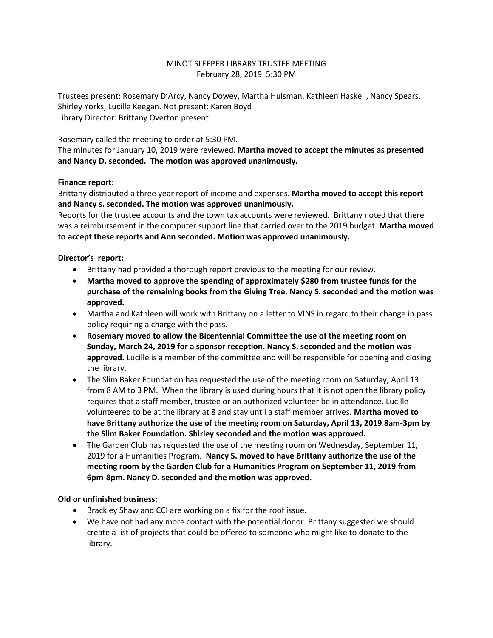# MINOT SLEEPER LIBRARY TRUSTEE MEETING February 28, 2019 5:30 PM

Trustees present: Rosemary D'Arcy, Nancy Dowey, Martha Hulsman, Kathleen Haskell, Nancy Spears, Shirley Yorks, Lucille Keegan. Not present: Karen Boyd Library Director: Brittany Overton present

Rosemary called the meeting to order at 5:30 PM.

The minutes for January 10, 2019 were reviewed. **Martha moved to accept the minutes as presented and Nancy D. seconded. The motion was approved unanimously.** 

#### **Finance report:**

Brittany distributed a three year report of income and expenses. **Martha moved to accept this report and Nancy s. seconded. The motion was approved unanimously.**

Reports for the trustee accounts and the town tax accounts were reviewed. Brittany noted that there was a reimbursement in the computer support line that carried over to the 2019 budget. **Martha moved to accept these reports and Ann seconded. Motion was approved unanimously.**

#### **Director's report:**

- Brittany had provided a thorough report previous to the meeting for our review.
- **Martha moved to approve the spending of approximately \$280 from trustee funds for the purchase of the remaining books from the Giving Tree. Nancy S. seconded and the motion was approved.**
- Martha and Kathleen will work with Brittany on a letter to VINS in regard to their change in pass policy requiring a charge with the pass.
- **Rosemary moved to allow the Bicentennial Committee the use of the meeting room on Sunday, March 24, 2019 for a sponsor reception. Nancy S. seconded and the motion was approved.** Lucille is a member of the committee and will be responsible for opening and closing the library.
- The Slim Baker Foundation has requested the use of the meeting room on Saturday, April 13 from 8 AM to 3 PM. When the library is used during hours that it is not open the library policy requires that a staff member, trustee or an authorized volunteer be in attendance. Lucille volunteered to be at the library at 8 and stay until a staff member arrives. **Martha moved to have Brittany authorize the use of the meeting room on Saturday, April 13, 2019 8am-3pm by the Slim Baker Foundation. Shirley seconded and the motion was approved.**
- The Garden Club has requested the use of the meeting room on Wednesday, September 11, 2019 for a Humanities Program. **Nancy S. moved to have Brittany authorize the use of the meeting room by the Garden Club for a Humanities Program on September 11, 2019 from 6pm-8pm. Nancy D. seconded and the motion was approved.**

### **Old or unfinished business:**

- Brackley Shaw and CCI are working on a fix for the roof issue.
- We have not had any more contact with the potential donor. Brittany suggested we should create a list of projects that could be offered to someone who might like to donate to the library.